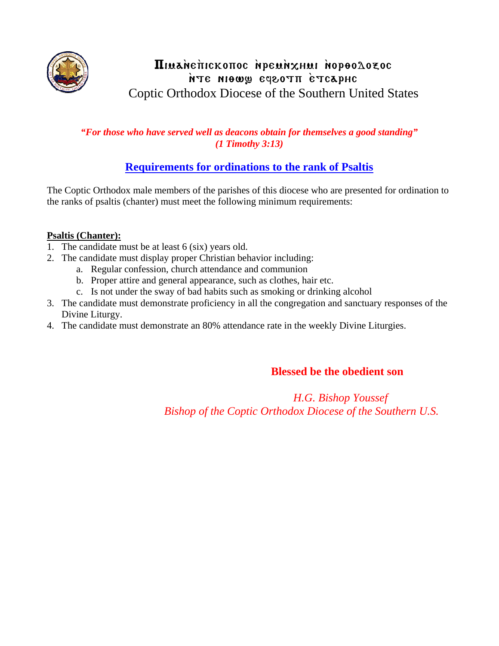

## TIMANETICKOTTOC NPEMNXHMI NOPOOLOZOC nTe niowy eqeoth etcaphe Coptic Orthodox Diocese of the Southern United States

### *"For those who have served well as deacons obtain for themselves a good standing" (1 Timothy 3:13)*

## **Requirements for ordinations to the rank of Psaltis**

The Coptic Orthodox male members of the parishes of this diocese who are presented for ordination to the ranks of psaltis (chanter) must meet the following minimum requirements:

### **Psaltis (Chanter):**

- 1. The candidate must be at least 6 (six) years old.
- 2. The candidate must display proper Christian behavior including:
	- a. Regular confession, church attendance and communion
	- b. Proper attire and general appearance, such as clothes, hair etc.
	- c. Is not under the sway of bad habits such as smoking or drinking alcohol
- 3. The candidate must demonstrate proficiency in all the congregation and sanctuary responses of the Divine Liturgy.
- 4. The candidate must demonstrate an 80% attendance rate in the weekly Divine Liturgies.

### **Blessed be the obedient son**

 *H.G. Bishop Youssef Bishop of the Coptic Orthodox Diocese of the Southern U.S.*